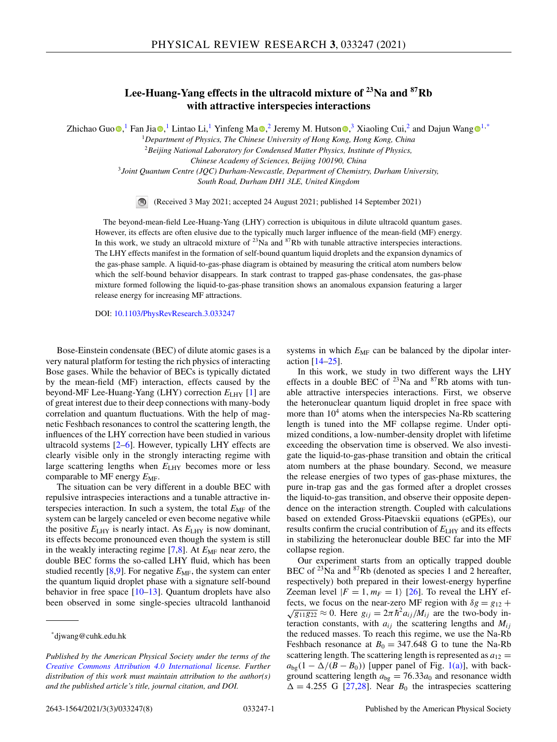# **Lee-Huang-Yang effects in the ultracold mixture of 23Na and 87Rb with attractive interspecies interactions**

Zhicha[o](https://orcid.org/0000-0003-4422-2433) Guo  $\bullet$ [,](https://orcid.org/0000-0002-4344-6622) <sup>1</sup> Fan Jia $\bullet$ , <sup>1</sup> Lintao Li, <sup>1</sup> Yinfen[g](https://orcid.org/0000-0001-7396-6736) Ma  $\bullet$ , <sup>2</sup> Jeremy M. Hutson  $\bullet$ , <sup>3</sup> Xiaoling Cui, <sup>2</sup> and Dajun Wang  $\bullet$  <sup>1,\*</sup>

<sup>1</sup>*Department of Physics, The Chinese University of Hong Kong, Hong Kong, China* <sup>2</sup>*Beijing National Laboratory for Condensed Matter Physics, Institute of Physics,*

*Chinese Academy of Sciences, Beijing 100190, China*

<sup>3</sup>*Joint Quantum Centre (JQC) Durham-Newcastle, Department of Chemistry, Durham University,*

*South Road, Durham DH1 3LE, United Kingdom*

 $\bigcirc$ (Received 3 May 2021; accepted 24 August 2021; published 14 September 2021)

The beyond-mean-field Lee-Huang-Yang (LHY) correction is ubiquitous in dilute ultracold quantum gases. However, its effects are often elusive due to the typically much larger influence of the mean-field (MF) energy. In this work, we study an ultracold mixture of  $^{23}$ Na and  $^{87}$ Rb with tunable attractive interspecies interactions. The LHY effects manifest in the formation of self-bound quantum liquid droplets and the expansion dynamics of the gas-phase sample. A liquid-to-gas-phase diagram is obtained by measuring the critical atom numbers below which the self-bound behavior disappears. In stark contrast to trapped gas-phase condensates, the gas-phase mixture formed following the liquid-to-gas-phase transition shows an anomalous expansion featuring a larger release energy for increasing MF attractions.

DOI: [10.1103/PhysRevResearch.3.033247](https://doi.org/10.1103/PhysRevResearch.3.033247)

Bose-Einstein condensate (BEC) of dilute atomic gases is a very natural platform for testing the rich physics of interacting Bose gases. While the behavior of BECs is typically dictated by the mean-field (MF) interaction, effects caused by the beyond-MF Lee-Huang-Yang (LHY) correction  $E_{LHY}$  [\[1\]](#page-6-0) are of great interest due to their deep connections with many-body correlation and quantum fluctuations. With the help of magnetic Feshbach resonances to control the scattering length, the influences of the LHY correction have been studied in various ultracold systems [\[2–6\]](#page-6-0). However, typically LHY effects are clearly visible only in the strongly interacting regime with large scattering lengths when  $E_{LHY}$  becomes more or less comparable to MF energy  $E_{\text{MF}}$ .

The situation can be very different in a double BEC with repulsive intraspecies interactions and a tunable attractive interspecies interaction. In such a system, the total  $E_{MF}$  of the system can be largely canceled or even become negative while the positive  $E_{LHY}$  is nearly intact. As  $E_{LHY}$  is now dominant, its effects become pronounced even though the system is still in the weakly interacting regime  $[7,8]$ . At  $E_{MF}$  near zero, the double BEC forms the so-called LHY fluid, which has been studied recently [\[8,9\]](#page-6-0). For negative  $E_{MF}$ , the system can enter the quantum liquid droplet phase with a signature self-bound behavior in free space [\[10–13\]](#page-6-0). Quantum droplets have also been observed in some single-species ultracold lanthanoid systems in which  $E_{MF}$  can be balanced by the dipolar interaction [\[14](#page-6-0)[–25\]](#page-7-0).

In this work, we study in two different ways the LHY effects in a double BEC of  $^{23}$ Na and  $^{87}$ Rb atoms with tunable attractive interspecies interactions. First, we observe the heteronuclear quantum liquid droplet in free space with more than  $10<sup>4</sup>$  atoms when the interspecies Na-Rb scattering length is tuned into the MF collapse regime. Under optimized conditions, a low-number-density droplet with lifetime exceeding the observation time is observed. We also investigate the liquid-to-gas-phase transition and obtain the critical atom numbers at the phase boundary. Second, we measure the release energies of two types of gas-phase mixtures, the pure in-trap gas and the gas formed after a droplet crosses the liquid-to-gas transition, and observe their opposite dependence on the interaction strength. Coupled with calculations based on extended Gross-Pitaevskii equations (eGPEs), our results confirm the crucial contribution of  $E_{LHY}$  and its effects in stabilizing the heteronuclear double BEC far into the MF collapse region.

Our experiment starts from an optically trapped double BEC of <sup>23</sup>Na and <sup>87</sup>Rb (denoted as species 1 and 2 hereafter, respectively) both prepared in their lowest-energy hyperfine Zeeman level  $|F = 1, m_F = 1\rangle$  [\[26\]](#page-7-0). To reveal the LHY effects, we focus on the near-zero MF region with  $\delta g = g_{12} +$  $\sqrt{g_{11}g_{22}} \approx 0$ . Here  $g_{ij} = 2\pi \hbar^2 a_{ij}/M_{ij}$  are the two-body interaction constants, with  $a_{ij}$  the scattering lengths and  $M_{ij}$ the reduced masses. To reach this regime, we use the Na-Rb Feshbach resonance at  $B_0 = 347.648$  G to tune the Na-Rb scattering length. The scattering length is represented as  $a_{12} =$  $a_{bg}(1 - \Delta/(B - B_0))$  [upper panel of Fig. [1\(a\)\]](#page-1-0), with background scattering length  $a_{bg} = 76.33a_0$  and resonance width  $\Delta = 4.255$  G [\[27,28\]](#page-7-0). Near  $B_0$  the intraspecies scattering

<sup>\*</sup>djwang@cuhk.edu.hk

*Published by the American Physical Society under the terms of the [Creative Commons Attribution 4.0 International](https://creativecommons.org/licenses/by/4.0/) license. Further distribution of this work must maintain attribution to the author(s) and the published article's title, journal citation, and DOI.*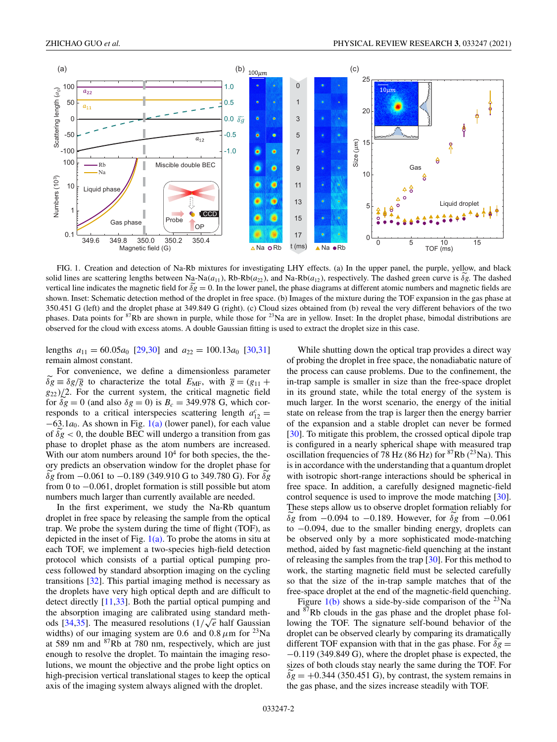<span id="page-1-0"></span>

FIG. 1. Creation and detection of Na-Rb mixtures for investigating LHY effects. (a) In the upper panel, the purple, yellow, and black solid lines are scattering lengths between N<sub>a</sub>-Na( $a_{11}$ ), Rb-Rb( $a_{22}$ ), and Na-Rb( $a_{12}$ ), respectively. The dashed green curve is  $\delta g$ . The dashed vertical line indicates the magnetic field for  $\delta g = 0$ . In the lower panel, the phase diagrams at different atomic numbers and magnetic fields are shown. Inset: Schematic detection method of the droplet in free space. (b) Images of the mixture during the TOF expansion in the gas phase at 350.451 G (left) and the droplet phase at 349.849 G (right). (c) Cloud sizes obtained from (b) reveal the very different behaviors of the two phases. Data points for  ${}^{87}Rb$  are shown in purple, while those for  ${}^{23}Na$  are in yellow. Inset: In the droplet phase, bimodal distributions are observed for the cloud with excess atoms. A double Gaussian fitting is used to extract the droplet size in this case.

lengths  $a_{11} = 60.05a_0$  [\[29,30\]](#page-7-0) and  $a_{22} = 100.13a_0$  [\[30,31\]](#page-7-0) remain almost constant.

For convenience, we define a dimensionless parameter  $\delta g \equiv \delta g/\overline{g}$  to characterize the total  $E_{\text{MF}}$ , with  $\overline{g} = (g_{11} +$ *g*<sup>22</sup> )/2. For the current system, the critical magnetic field for  $\delta g = 0$  (and also  $\delta g = 0$ ) is  $B_c = 349.978$  G, which corresponds to a critical interspecies scattering length  $a_{12}^c$  = −63.1*a*0. As shown in Fig. 1(a) (lower panel), for each value of  $\delta g$  < 0, the double BEC will undergo a transition from gas phase to droplet phase as the atom numbers are increased. With our atom numbers around  $10<sup>4</sup>$  for both species, the theory predicts an observation window for the droplet phase for  $\delta$ *g* from −0.061 to −0.189 (349.910 G to 349.780 G). For  $\delta$ *g* from 0 to  $-0.061$ , droplet formation is still possible but atom numbers much larger than currently available are needed.

In the first experiment, we study the Na-Rb quantum droplet in free space by releasing the sample from the optical trap. We probe the system during the time of flight (TOF), as depicted in the inset of Fig.  $1(a)$ . To probe the atoms in situ at each TOF, we implement a two-species high-field detection protocol which consists of a partial optical pumping process followed by standard absorption imaging on the cycling transitions [\[32\]](#page-7-0). This partial imaging method is necessary as the droplets have very high optical depth and are difficult to detect directly [\[11](#page-6-0)[,33\]](#page-7-0). Both the partial optical pumping and the absorption imaging are calibrated using standard methods  $[34,35]$ . The measured resolutions  $(1/\sqrt{e})$  half Gaussian widths) of our imaging system are 0.6 and 0.8  $\mu$ m for <sup>23</sup>Na at 589 nm and 87Rb at 780 nm, respectively, which are just enough to resolve the droplet. To maintain the imaging resolutions, we mount the objective and the probe light optics on high-precision vertical translational stages to keep the optical axis of the imaging system always aligned with the droplet.

While shutting down the optical trap provides a direct way of probing the droplet in free space, the nonadiabatic nature of the process can cause problems. Due to the confinement, the in-trap sample is smaller in size than the free-space droplet in its ground state, while the total energy of the system is much larger. In the worst scenario, the energy of the initial state on release from the trap is larger then the energy barrier of the expansion and a stable droplet can never be formed [\[30\]](#page-7-0). To mitigate this problem, the crossed optical dipole trap is configured in a nearly spherical shape with measured trap oscillation frequencies of 78 Hz (86 Hz) for  ${}^{87}Rb$  ( ${}^{23}Na$ ). This is in accordance with the understanding that a quantum droplet with isotropic short-range interactions should be spherical in free space. In addition, a carefully designed magnetic-field control sequence is used to improve the mode matching [\[30\]](#page-7-0). These steps allow us to observe droplet formation reliably for *δg* from −0.094 to −0.189. However, for *δg* from −0.061 to −0.094, due to the smaller binding energy, droplets can be observed only by a more sophisticated mode-matching method, aided by fast magnetic-field quenching at the instant of releasing the samples from the trap [\[30\]](#page-7-0). For this method to work, the starting magnetic field must be selected carefully so that the size of the in-trap sample matches that of the free-space droplet at the end of the magnetic-field quenching.

Figure  $1(b)$  shows a side-by-side comparison of the <sup>23</sup>Na and 87Rb clouds in the gas phase and the droplet phase following the TOF. The signature self-bound behavior of the droplet can be observed clearly by comparing its dramatically different TOF expansion with that in the gas phase. For  $\delta g =$ −0.119 (349.849 G), where the droplet phase is expected, the sizes of both clouds stay nearly the same during the TOF. For  $\delta g = +0.344$  (350.451 G), by contrast, the system remains in the gas phase, and the sizes increase steadily with TOF.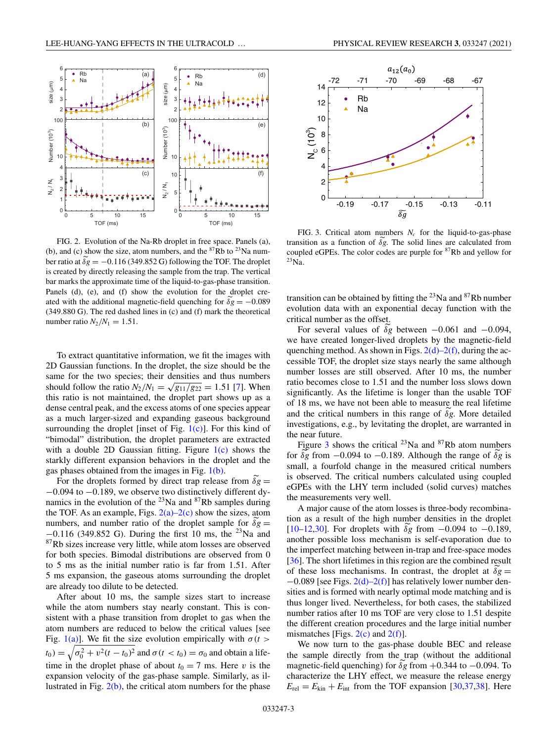<span id="page-2-0"></span>

FIG. 2. Evolution of the Na-Rb droplet in free space. Panels (a), (b), and (c) show the size, atom numbers, and the  ${}^{87}Rb$  to  ${}^{23}Na$  number ratio at  $\delta g = -0.116$  (349.852 G) following the TOF. The droplet is created by directly releasing the sample from the trap. The vertical bar marks the approximate time of the liquid-to-gas-phase transition. Panels (d), (e), and (f) show the evolution for the droplet created with the additional magnetic-field quenching for  $\delta g = -0.089$ (349.880 G). The red dashed lines in (c) and (f) mark the theoretical number ratio  $N_2/N_1 = 1.51$ .

To extract quantitative information, we fit the images with 2D Gaussian functions. In the droplet, the size should be the same for the two species; their densities and thus numbers should follow the ratio  $N_2/N_1 = \sqrt{g_{11}/g_{22}} = 1.51$  [\[7\]](#page-6-0). When this ratio is not maintained, the droplet part shows up as a dense central peak, and the excess atoms of one species appear as a much larger-sized and expanding gaseous background surrounding the droplet [inset of Fig.  $1(c)$ ]. For this kind of "bimodal" distribution, the droplet parameters are extracted with a double 2D Gaussian fitting. Figure  $1(c)$  shows the starkly different expansion behaviors in the droplet and the gas phases obtained from the images in Fig.  $1(b)$ .

For the droplets formed by direct trap release from  $\delta g =$ −0.094 to −0.189, we observe two distinctively different dynamics in the evolution of the  $^{23}$ Na and  $^{87}$ Rb samples during the TOF. As an example, Figs.  $2(a)-2(c)$  show the sizes, atom numbers, and number ratio of the droplet sample for  $\delta g =$  $-0.116$  (349.852 G). During the first 10 ms, the <sup>23</sup>Na and 87Rb sizes increase very little, while atom losses are observed for both species. Bimodal distributions are observed from 0 to 5 ms as the initial number ratio is far from 1.51. After 5 ms expansion, the gaseous atoms surrounding the droplet are already too dilute to be detected.

After about 10 ms, the sample sizes start to increase while the atom numbers stay nearly constant. This is consistent with a phase transition from droplet to gas when the atom numbers are reduced to below the critical values [see Fig. [1\(a\)\]](#page-1-0). We fit the size evolution empirically with  $\sigma(t)$  $t_0$ ) =  $\sqrt{\sigma_0^2 + v^2(t - t_0)^2}$  and  $\sigma(t < t_0) = \sigma_0$  and obtain a lifetime in the droplet phase of about  $t_0 = 7$  ms. Here *v* is the expansion velocity of the gas-phase sample. Similarly, as illustrated in Fig.  $2(b)$ , the critical atom numbers for the phase



FIG. 3. Critical atom numbers  $N_c$  for the liquid-to-gas-phase transition as a function of  $\delta g$ . The solid lines are calculated from coupled eGPEs. The color codes are purple for 87Rb and yellow for 23Na.

transition can be obtained by fitting the  $^{23}$ Na and  $^{87}$ Rb number evolution data with an exponential decay function with the critical number as the offset.

For several values of  $\delta g$  between  $-0.061$  and  $-0.094$ , we have created longer-lived droplets by the magnetic-field quenching method. As shown in Figs.  $2(d)-2(f)$ , during the accessible TOF, the droplet size stays nearly the same although number losses are still observed. After 10 ms, the number ratio becomes close to 1.51 and the number loss slows down significantly. As the lifetime is longer than the usable TOF of 18 ms, we have not been able to measure the real lifetime and the critical numbers in this range of  $\delta g$ . More detailed investigations, e.g., by levitating the droplet, are warranted in the near future.

Figure 3 shows the critical  $^{23}$ Na and  $^{87}$ Rb atom numbers for  $\delta g$  from  $-0.094$  to  $-0.189$ . Although the range of  $\delta g$  is small, a fourfold change in the measured critical numbers is observed. The critical numbers calculated using coupled eGPEs with the LHY term included (solid curves) matches the measurements very well.

A major cause of the atom losses is three-body recombination as a result of the high number densities in the droplet [ $10-12,30$ ]. For droplets with  $\delta g$  from  $-0.094$  to  $-0.189$ , another possible loss mechanism is self-evaporation due to the imperfect matching between in-trap and free-space modes [\[36\]](#page-7-0). The short lifetimes in this region are the combined result of these loss mechanisms. In contrast, the droplet at  $\delta g =$  $-0.089$  [see Figs. 2(d)–2(f)] has relatively lower number densities and is formed with nearly optimal mode matching and is thus longer lived. Nevertheless, for both cases, the stabilized number ratios after 10 ms TOF are very close to 1.51 despite the different creation procedures and the large initial number mismatches [Figs.  $2(c)$  and  $2(f)$ ].

We now turn to the gas-phase double BEC and release the sample directly from the trap (without the additional magnetic-field quenching) for  $\delta g$  from  $+0.344$  to  $-0.094$ . To characterize the LHY effect, we measure the release energy  $E_{\text{rel}} = E_{\text{kin}} + E_{\text{int}}$  from the TOF expansion [\[30,37,38\]](#page-7-0). Here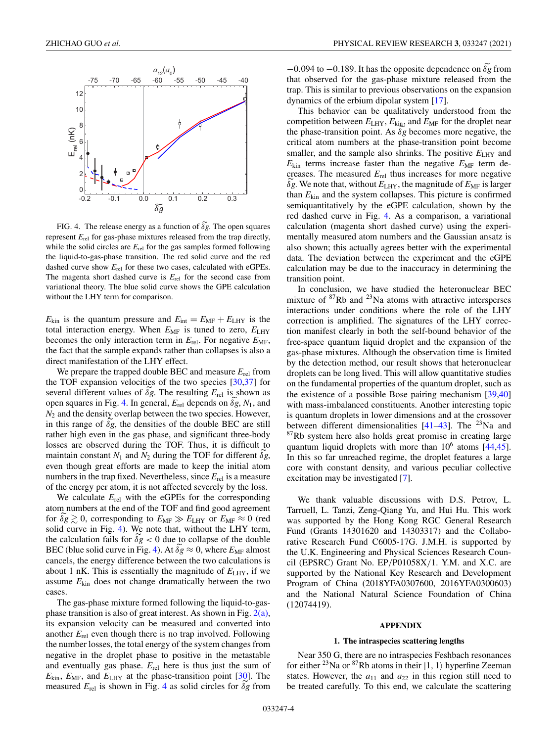<span id="page-3-0"></span>

FIG. 4. The release energy as a function of  $\delta g$ . The open squares represent  $E_{rel}$  for gas-phase mixtures released from the trap directly, while the solid circles are  $E_{rel}$  for the gas samples formed following the liquid-to-gas-phase transition. The red solid curve and the red dashed curve show  $E_{rel}$  for these two cases, calculated with eGPEs. The magenta short dashed curve is *E*rel for the second case from variational theory. The blue solid curve shows the GPE calculation without the LHY term for comparison.

 $E_{kin}$  is the quantum pressure and  $E_{int} = E_{MF} + E_{LHY}$  is the total interaction energy. When  $E_{MF}$  is tuned to zero,  $E_{LHY}$ becomes the only interaction term in  $E_{rel}$ . For negative  $E_{MF}$ , the fact that the sample expands rather than collapses is also a direct manifestation of the LHY effect.

We prepare the trapped double BEC and measure *E*rel from the TOF expansion velocities of the two species [\[30,37\]](#page-7-0) for several different values of  $\delta g$ . The resulting  $E_{\text{rel}}$  is shown as open squares in Fig. 4. In general,  $E_{\text{rel}}$  depends on  $\delta g$ ,  $N_1$ , and *N*<sup>2</sup> and the density overlap between the two species. However, in this range of  $\delta g$ , the densities of the double BEC are still rather high even in the gas phase, and significant three-body losses are observed during the TOF. Thus, it is difficult to maintain constant  $N_1$  and  $N_2$  during the TOF for different  $\delta g$ , even though great efforts are made to keep the initial atom numbers in the trap fixed. Nevertheless, since  $E_{rel}$  is a measure of the energy per atom, it is not affected severely by the loss.

We calculate *E*rel with the eGPEs for the corresponding atom numbers at the end of the TOF and find good agreement for  $\delta g \gtrsim 0$ , corresponding to  $E_{\text{MF}} \gg E_{\text{LHY}}$  or  $E_{\text{MF}} \approx 0$  (red solid curve in Fig. 4). We note that, without the LHY term, the calculation fails for  $\delta g < 0$  due to collapse of the double BEC (blue solid curve in Fig. 4). At  $\delta g \approx 0$ , where  $E_{MF}$  almost cancels, the energy difference between the two calculations is about 1 nK. This is essentially the magnitude of  $E_{LHY}$ , if we assume  $E_{kin}$  does not change dramatically between the two cases.

The gas-phase mixture formed following the liquid-to-gasphase transition is also of great interest. As shown in Fig.  $2(a)$ , its expansion velocity can be measured and converted into another *E*rel even though there is no trap involved. Following the number losses, the total energy of the system changes from negative in the droplet phase to positive in the metastable and eventually gas phase. *E*rel here is thus just the sum of  $E_{kin}$ ,  $E_{MF}$ , and  $E_{LHY}$  at the phase-transition point [\[30\]](#page-7-0). The measured  $E_{rel}$  is shown in Fig. 4 as solid circles for  $\delta g$  from

 $-0.094$  to  $-0.189$ . It has the opposite dependence on δ*g* from that observed for the gas-phase mixture released from the trap. This is similar to previous observations on the expansion dynamics of the erbium dipolar system [\[17\]](#page-6-0).

This behavior can be qualitatively understood from the competition between  $E_{LHY}$ ,  $E_{\text{king}}$ , and  $E_{MF}$  for the droplet near the phase-transition point. As  $\delta g$  becomes more negative, the critical atom numbers at the phase-transition point become smaller, and the sample also shrinks. The positive  $E_{LHY}$  and  $E_{\text{kin}}$  terms increase faster than the negative  $E_{\text{MF}}$  term decreases. The measured *E*rel thus increases for more negative  $\delta g$ . We note that, without  $E_{LHY}$ , the magnitude of  $E_{MF}$  is larger than *E*kin and the system collapses. This picture is confirmed semiquantitatively by the eGPE calculation, shown by the red dashed curve in Fig. 4. As a comparison, a variational calculation (magenta short dashed curve) using the experimentally measured atom numbers and the Gaussian ansatz is also shown; this actually agrees better with the experimental data. The deviation between the experiment and the eGPE calculation may be due to the inaccuracy in determining the transition point.

In conclusion, we have studied the heteronuclear BEC mixture of  $87Rb$  and  $23Na$  atoms with attractive intersperses interactions under conditions where the role of the LHY correction is amplified. The signatures of the LHY correction manifest clearly in both the self-bound behavior of the free-space quantum liquid droplet and the expansion of the gas-phase mixtures. Although the observation time is limited by the detection method, our result shows that heteronuclear droplets can be long lived. This will allow quantitative studies on the fundamental properties of the quantum droplet, such as the existence of a possible Bose pairing mechanism [\[39,40\]](#page-7-0) with mass-imbalanced constituents. Another interesting topic is quantum droplets in lower dimensions and at the crossover between different dimensionalities  $[41-43]$ . The <sup>23</sup>Na and  $87Rb$  system here also holds great promise in creating large quantum liquid droplets with more than  $10^6$  atoms  $[44,45]$ . In this so far unreached regime, the droplet features a large core with constant density, and various peculiar collective excitation may be investigated [\[7\]](#page-6-0).

We thank valuable discussions with D.S. Petrov, L. Tarruell, L. Tanzi, Zeng-Qiang Yu, and Hui Hu. This work was supported by the Hong Kong RGC General Research Fund (Grants 14301620 and 14303317) and the Collaborative Research Fund C6005-17G. J.M.H. is supported by the U.K. Engineering and Physical Sciences Research Council (EPSRC) Grant No. EP/P01058X/1. Y.M. and X.C. are supported by the National Key Research and Development Program of China (2018YFA0307600, 2016YFA0300603) and the National Natural Science Foundation of China (12074419).

#### **APPENDIX**

### **1. The intraspecies scattering lengths**

Near 350 G, there are no intraspecies Feshbach resonances for either <sup>23</sup>Na or <sup>87</sup>Rb atoms in their  $|1, 1\rangle$  hyperfine Zeeman states. However, the  $a_{11}$  and  $a_{22}$  in this region still need to be treated carefully. To this end, we calculate the scattering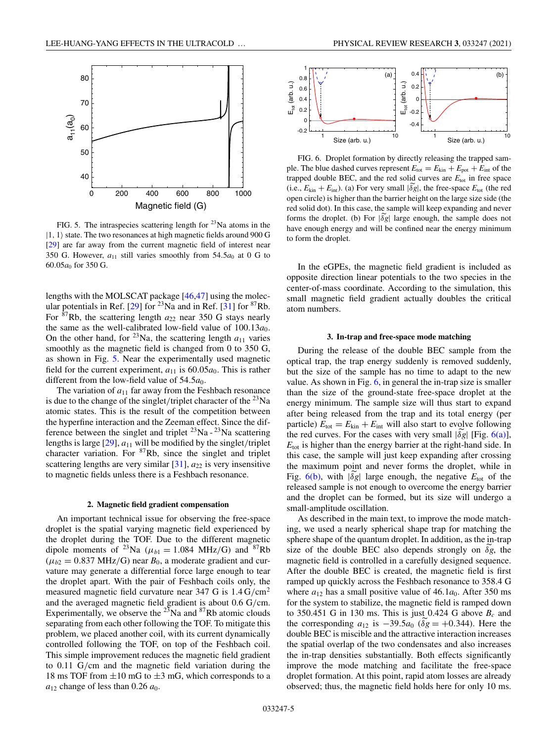<span id="page-4-0"></span>

FIG. 5. The intraspecies scattering length for  $^{23}$ Na atoms in the  $|1, 1\rangle$  state. The two resonances at high magnetic fields around 900 G [\[29\]](#page-7-0) are far away from the current magnetic field of interest near 350 G. However,  $a_{11}$  still varies smoothly from 54.5 $a_0$  at 0 G to 60.05*a*<sup>0</sup> for 350 G.

lengths with the MOLSCAT package [\[46,47\]](#page-7-0) using the molec-ular potentials in Ref. [\[29\]](#page-7-0) for  $^{23}$ Na and in Ref. [\[31\]](#page-7-0) for  $^{87}$ Rb. For  ${}^{87}$ Rb, the scattering length  $a_{22}$  near 350 G stays nearly the same as the well-calibrated low-field value of  $100.13a_0$ . On the other hand, for <sup>23</sup>Na, the scattering length  $a_{11}$  varies smoothly as the magnetic field is changed from 0 to 350 G, as shown in Fig. 5. Near the experimentally used magnetic field for the current experiment,  $a_{11}$  is 60.05 $a_0$ . This is rather different from the low-field value of  $54.5a_0$ .

The variation of  $a_{11}$  far away from the Feshbach resonance is due to the change of the singlet/triplet character of the  $^{23}$ Na atomic states. This is the result of the competition between the hyperfine interaction and the Zeeman effect. Since the difference between the singlet and triplet  $^{23}$ Na -  $^{23}$ Na scattering lengths is large [\[29\]](#page-7-0), *a*<sup>11</sup> will be modified by the singlet/triplet character variation. For  ${}^{87}Rb$ , since the singlet and triplet scattering lengths are very similar  $[31]$ ,  $a_{22}$  is very insensitive to magnetic fields unless there is a Feshbach resonance.

#### **2. Magnetic field gradient compensation**

An important technical issue for observing the free-space droplet is the spatial varying magnetic field experienced by the droplet during the TOF. Due to the different magnetic dipole moments of <sup>23</sup>Na ( $\mu_{b1} = 1.084$  MHz/G) and <sup>87</sup>Rb  $(\mu_{b2} = 0.837 \text{ MHz/G})$  near  $B_0$ , a moderate gradient and curvature may generate a differential force large enough to tear the droplet apart. With the pair of Feshbach coils only, the measured magnetic field curvature near 347 G is  $1.4 \text{ G/cm}^2$ and the averaged magnetic field gradient is about 0.6 G/cm. Experimentally, we observe the  $^{23}$ Na and  $^{87}$ Rb atomic clouds separating from each other following the TOF. To mitigate this problem, we placed another coil, with its current dynamically controlled following the TOF, on top of the Feshbach coil. This simple improvement reduces the magnetic field gradient to 0.11 G/cm and the magnetic field variation during the 18 ms TOF from  $\pm 10$  mG to  $\pm 3$  mG, which corresponds to a  $a_{12}$  change of less than 0.26  $a_0$ .



FIG. 6. Droplet formation by directly releasing the trapped sample. The blue dashed curves represent  $E_{\text{tot}} = E_{\text{kin}} + E_{\text{pot}} + E_{\text{int}}$  of the trapped double BEC, and the red solid curves are  $E_{\text{tot}}$  in free space (i.e.,  $E_{\text{kin}} + E_{\text{int}}$ ). (a) For very small  $|\delta g|$ , the free-space  $E_{\text{tot}}$  (the red open circle) is higher than the barrier height on the large size side (the red solid dot). In this case, the sample will keep expanding and never forms the droplet. (b) For  $|\delta g|$  large enough, the sample does not have enough energy and will be confined near the energy minimum to form the droplet.

In the eGPEs, the magnetic field gradient is included as opposite direction linear potentials to the two species in the center-of-mass coordinate. According to the simulation, this small magnetic field gradient actually doubles the critical atom numbers.

#### **3. In-trap and free-space mode matching**

During the release of the double BEC sample from the optical trap, the trap energy suddenly is removed suddenly, but the size of the sample has no time to adapt to the new value. As shown in Fig. 6, in general the in-trap size is smaller than the size of the ground-state free-space droplet at the energy minimum. The sample size will thus start to expand after being released from the trap and its total energy (per particle)  $E_{\text{tot}} = E_{\text{kin}} + E_{\text{int}}$  will also start to evolve following the red curves. For the cases with very small  $|\delta g|$  [Fig. 6(a)], *E*tot is higher than the energy barrier at the right-hand side. In this case, the sample will just keep expanding after crossing the maximum point and never forms the droplet, while in Fig. 6(b), with  $|\delta g|$  large enough, the negative  $E_{\text{tot}}$  of the released sample is not enough to overcome the energy barrier and the droplet can be formed, but its size will undergo a small-amplitude oscillation.

As described in the main text, to improve the mode matching, we used a nearly spherical shape trap for matching the sphere shape of the quantum droplet. In addition, as the in-trap size of the double BEC also depends strongly on  $\delta g$ , the magnetic field is controlled in a carefully designed sequence. After the double BEC is created, the magnetic field is first ramped up quickly across the Feshbach resonance to 358.4 G where  $a_{12}$  has a small positive value of 46.1 $a_0$ . After 350 ms for the system to stabilize, the magnetic field is ramped down to 350.451 G in 130 ms. This is just 0.424 G above  $B_c$  and the corresponding  $a_{12}$  is  $-39.5a_0$  ( $\delta g = +0.344$ ). Here the double BEC is miscible and the attractive interaction increases the spatial overlap of the two condensates and also increases the in-trap densities substantially. Both effects significantly improve the mode matching and facilitate the free-space droplet formation. At this point, rapid atom losses are already observed; thus, the magnetic field holds here for only 10 ms.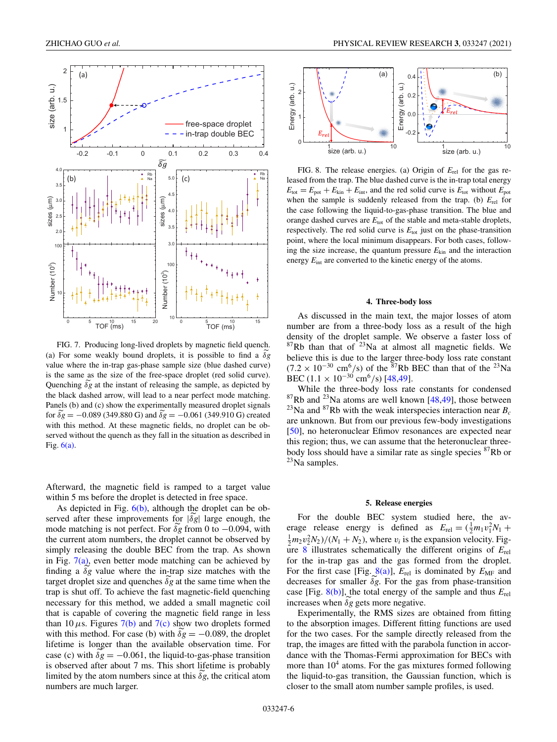

FIG. 7. Producing long-lived droplets by magnetic field quench. (a) For some weakly bound droplets, it is possible to find a  $\delta g$ value where the in-trap gas-phase sample size (blue dashed curve) is the same as the size of the free-space droplet (red solid curve). Quenching  $\delta g$  at the instant of releasing the sample, as depicted by the black dashed arrow, will lead to a near perfect mode matching. Panels (b) and (c) show the experimentally measured droplet signals for  $\delta g = -0.089$  (349.880 G) and  $\delta g = -0.061$  (349.910 G) created with this method. At these magnetic fields, no droplet can be observed without the quench as they fall in the situation as described in Fig.  $6(a)$ .

Afterward, the magnetic field is ramped to a target value within 5 ms before the droplet is detected in free space.

As depicted in Fig.  $6(b)$ , although the droplet can be observed after these improvements for  $|\delta g|$  large enough, the mode matching is not perfect. For  $\delta g$  from 0 to  $-0.094$ , with the current atom numbers, the droplet cannot be observed by simply releasing the double BEC from the trap. As shown in Fig.  $7(a)$ , even better mode matching can be achieved by finding a  $\delta g$  value where the in-trap size matches with the target droplet size and quenches  $\delta g$  at the same time when the trap is shut off. To achieve the fast magnetic-field quenching necessary for this method, we added a small magnetic coil that is capable of covering the magnetic field range in less than 10  $\mu$ s. Figures 7(b) and 7(c) show two droplets formed with this method. For case (b) with  $\delta g = -0.089$ , the droplet lifetime is longer than the available observation time. For case (c) with  $\delta g = -0.061$ , the liquid-to-gas-phase transition is observed after about 7 ms. This short lifetime is probably limited by the atom numbers since at this  $\delta g$ , the critical atom numbers are much larger.



FIG. 8. The release energies. (a) Origin of *E*rel for the gas released from the trap. The blue dashed curve is the in-trap total energy  $E_{\text{tot}} = E_{\text{pot}} + E_{\text{kin}} + E_{\text{int}}$ , and the red solid curve is  $E_{\text{tot}}$  without  $E_{\text{pot}}$ when the sample is suddenly released from the trap. (b) *E*rel for the case following the liquid-to-gas-phase transition. The blue and orange dashed curves are  $E_{\text{tot}}$  of the stable and meta-stable droplets, respectively. The red solid curve is  $E_{\text{tot}}$  just on the phase-transition point, where the local minimum disappears. For both cases, following the size increase, the quantum pressure  $E_{kin}$  and the interaction energy  $E_{\text{int}}$  are converted to the kinetic energy of the atoms.

## **4. Three-body loss**

As discussed in the main text, the major losses of atom number are from a three-body loss as a result of the high density of the droplet sample. We observe a faster loss of  $87Rb$  than that of  $23Na$  at almost all magnetic fields. We believe this is due to the larger three-body loss rate constant  $(7.2 \times 10^{-30} \text{ cm}^6/\text{s})$  of the <sup>87</sup>Rb BEC than that of the <sup>23</sup>Na BEC (1.1 × 10<sup>-30</sup> cm<sup>6</sup>/s) [\[48,49\]](#page-7-0).

While the three-body loss rate constants for condensed  $87Rb$  and  $23Na$  atoms are well known [\[48,49\]](#page-7-0), those between <sup>23</sup>Na and <sup>87</sup>Rb with the weak interspecies interaction near  $B_c$ are unknown. But from our previous few-body investigations [\[50\]](#page-7-0), no heteronuclear Efimov resonances are expected near this region; thus, we can assume that the heteronuclear threebody loss should have a similar rate as single species <sup>87</sup>Rb or  $^{23}$ Na samples.

#### **5. Release energies**

For the double BEC system studied here, the average release energy is defined as  $E_{rel} = (\frac{1}{2}m_1v_1^2N_1 +$  $\frac{1}{2}m_2v_2^2N_2$ )/( $N_1 + N_2$ ), where  $v_i$  is the expansion velocity. Figure 8 illustrates schematically the different origins of *E*rel for the in-trap gas and the gas formed from the droplet. For the first case [Fig.  $(8(a))$ ],  $E_{rel}$  is dominated by  $E_{MF}$  and decreases for smaller  $\delta g$ . For the gas from phase-transition case [Fig. 8(b)], the total energy of the sample and thus *E*rel increases when  $\delta g$  gets more negative.

Experimentally, the RMS sizes are obtained from fitting to the absorption images. Different fitting functions are used for the two cases. For the sample directly released from the trap, the images are fitted with the parabola function in accordance with the Thomas-Fermi approximation for BECs with more than  $10<sup>4</sup>$  atoms. For the gas mixtures formed following the liquid-to-gas transition, the Gaussian function, which is closer to the small atom number sample profiles, is used.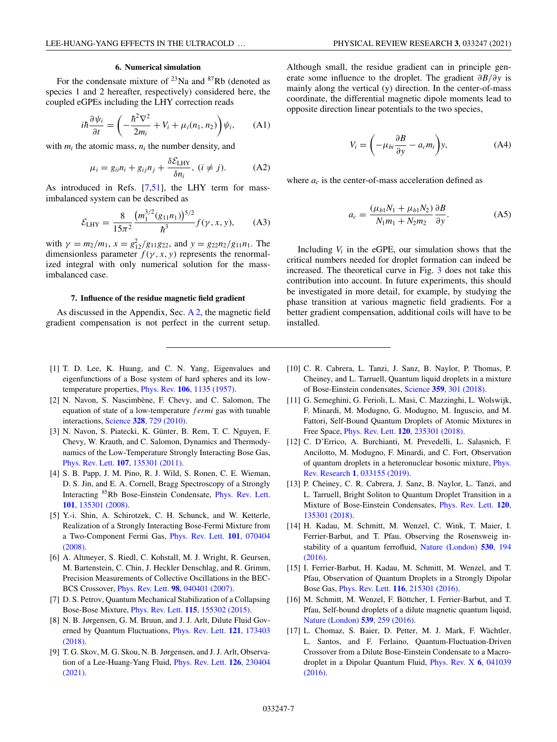# **6. Numerical simulation**

<span id="page-6-0"></span>For the condensate mixture of  $^{23}$ Na and  $^{87}$ Rb (denoted as species 1 and 2 hereafter, respectively) considered here, the coupled eGPEs including the LHY correction reads

$$
i\hbar \frac{\partial \psi_i}{\partial t} = \left( -\frac{\hbar^2 \nabla^2}{2m_i} + V_i + \mu_i(n_1, n_2) \right) \psi_i, \quad \text{(A1)}
$$

with  $m_i$ ; the atomic mass,  $n_i$ ; the number density, and

$$
\mu_i = g_{ii} n_i + g_{ij} n_j + \frac{\delta \mathcal{E}_{\text{LHY}}}{\delta n_i}, (i \neq j). \tag{A2}
$$

As introduced in Refs. [7[,51\]](#page-7-0), the LHY term for massimbalanced system can be described as

$$
\mathcal{E}_{LHY} = \frac{8}{15\pi^2} \frac{(m_1^{3/2}(g_{11}n_1))^{5/2}}{\hbar^3} f(\gamma, x, y), \quad (A3)
$$

with  $\gamma = m_2/m_1$ ,  $x = g_{12}^2/g_{11}g_{22}$ , and  $y = g_{22}n_2/g_{11}n_1$ . The dimensionless parameter  $f(\gamma, x, y)$  represents the renormalized integral with only numerical solution for the massimbalanced case.

#### **7. Influence of the residue magnetic field gradient**

As discussed in the Appendix, Sec.  $A_2$ , the magnetic field gradient compensation is not perfect in the current setup.

Although small, the residue gradient can in principle generate some influence to the droplet. The gradient ∂*B*/∂*y* is mainly along the vertical (y) direction. In the center-of-mass coordinate, the differential magnetic dipole moments lead to opposite direction linear potentials to the two species,

$$
V_i = \left(-\mu_{bi}\frac{\partial B}{\partial y} - a_c m_i\right)y,
$$
 (A4)

where  $a_c$  is the center-of-mass acceleration defined as

$$
a_c = \frac{(\mu_{b1}N_1 + \mu_{b1}N_2)}{N_1m_1 + N_2m_2} \frac{\partial B}{\partial y}.
$$
 (A5)

Including  $V_i$  in the eGPE, our simulation shows that the critical numbers needed for droplet formation can indeed be increased. The theoretical curve in Fig. [3](#page-2-0) does not take this contribution into account. In future experiments, this should be investigated in more detail, for example, by studying the phase transition at various magnetic field gradients. For a better gradient compensation, additional coils will have to be installed.

- [1] T. D. Lee, K. Huang, and C. N. Yang, Eigenvalues and eigenfunctions of a Bose system of hard spheres and its lowtemperature properties, Phys. Rev. **106**[, 1135 \(1957\).](https://doi.org/10.1103/PhysRev.106.1135)
- [2] N. Navon, S. Nascimbène, F. Chevy, and C. Salomon, The equation of state of a low-temperature *f ermi* gas with tunable interactions, Science **328**[, 729 \(2010\).](https://doi.org/10.1126/science.1187582)
- [3] N. Navon, S. Piatecki, K. Günter, B. Rem, T. C. Nguyen, F. Chevy, W. Krauth, and C. Salomon, Dynamics and Thermodynamics of the Low-Temperature Strongly Interacting Bose Gas, Phys. Rev. Lett. **107**[, 135301 \(2011\).](https://doi.org/10.1103/PhysRevLett.107.135301)
- [4] S. B. Papp, J. M. Pino, R. J. Wild, S. Ronen, C. E. Wieman, D. S. Jin, and E. A. Cornell, Bragg Spectroscopy of a Strongly Interacting [85Rb Bose-Einstein Condensate,](https://doi.org/10.1103/PhysRevLett.101.135301) Phys. Rev. Lett. **101**, 135301 (2008).
- [5] Y.-i. Shin, A. Schirotzek, C. H. Schunck, and W. Ketterle, Realization of a Strongly Interacting Bose-Fermi Mixture from [a Two-Component Fermi Gas,](https://doi.org/10.1103/PhysRevLett.101.070404) Phys. Rev. Lett. **101**, 070404 (2008).
- [6] A. Altmeyer, S. Riedl, C. Kohstall, M. J. Wright, R. Geursen, M. Bartenstein, C. Chin, J. Heckler Denschlag, and R. Grimm, Precision Measurements of Collective Oscillations in the BEC-BCS Crossover, Phys. Rev. Lett. **98**[, 040401 \(2007\).](https://doi.org/10.1103/PhysRevLett.98.040401)
- [7] D. S. Petrov, Quantum Mechanical Stabilization of a Collapsing Bose-Bose Mixture, Phys. Rev. Lett. **115**[, 155302 \(2015\).](https://doi.org/10.1103/PhysRevLett.115.155302)
- [8] N. B. Jørgensen, G. M. Bruun, and J. J. Arlt, Dilute Fluid Gov[erned by Quantum Fluctuations,](https://doi.org/10.1103/PhysRevLett.121.173403) Phys. Rev. Lett. **121**, 173403 (2018).
- [9] T. G. Skov, M. G. Skou, N. B. Jørgensen, and J. J. Arlt, Observa[tion of a Lee-Huang-Yang Fluid,](https://doi.org/10.1103/PhysRevLett.126.230404) Phys. Rev. Lett. **126**, 230404 (2021).
- [10] C. R. Cabrera, L. Tanzi, J. Sanz, B. Naylor, P. Thomas, P. Cheiney, and L. Tarruell, Quantum liquid droplets in a mixture of Bose-Einstein condensates, Science **359**[, 301 \(2018\).](https://doi.org/10.1126/science.aao5686)
- [11] G. Semeghini, G. Ferioli, L. Masi, C. Mazzinghi, L. Wolswijk, F. Minardi, M. Modugno, G. Modugno, M. Inguscio, and M. Fattori, Self-Bound Quantum Droplets of Atomic Mixtures in Free Space, Phys. Rev. Lett. **120**[, 235301 \(2018\).](https://doi.org/10.1103/PhysRevLett.120.235301)
- [12] C. D'Errico, A. Burchianti, M. Prevedelli, L. Salasnich, F. Ancilotto, M. Modugno, F. Minardi, and C. Fort, Observation [of quantum droplets in a heteronuclear bosonic mixture,](https://doi.org/10.1103/PhysRevResearch.1.033155) Phys. Rev. Research **1**, 033155 (2019).
- [13] P. Cheiney, C. R. Cabrera, J. Sanz, B. Naylor, L. Tanzi, and L. Tarruell, Bright Soliton to Quantum Droplet Transition in a [Mixture of Bose-Einstein Condensates,](https://doi.org/10.1103/PhysRevLett.120.135301) Phys. Rev. Lett. **120**, 135301 (2018).
- [14] H. Kadau, M. Schmitt, M. Wenzel, C. Wink, T. Maier, I. Ferrier-Barbut, and T. Pfau, Observing the Rosensweig in[stability of a quantum ferrofluid,](https://doi.org/10.1038/nature16485) Nature (London) **530**, 194 (2016).
- [15] I. Ferrier-Barbut, H. Kadau, M. Schmitt, M. Wenzel, and T. Pfau, Observation of Quantum Droplets in a Strongly Dipolar Bose Gas, Phys. Rev. Lett. **116**[, 215301 \(2016\).](https://doi.org/10.1103/PhysRevLett.116.215301)
- [16] M. Schmitt, M. Wenzel, F. Böttcher, I. Ferrier-Barbut, and T. Pfau, Self-bound droplets of a dilute magnetic quantum liquid, [Nature \(London\)](https://doi.org/10.1038/nature20126) **539**, 259 (2016).
- [17] L. Chomaz, S. Baier, D. Petter, M. J. Mark, F. Wächtler, L. Santos, and F. Ferlaino, Quantum-Fluctuation-Driven Crossover from a Dilute Bose-Einstein Condensate to a Macro[droplet in a Dipolar Quantum Fluid,](https://doi.org/10.1103/PhysRevX.6.041039) Phys. Rev. X **6**, 041039 (2016).